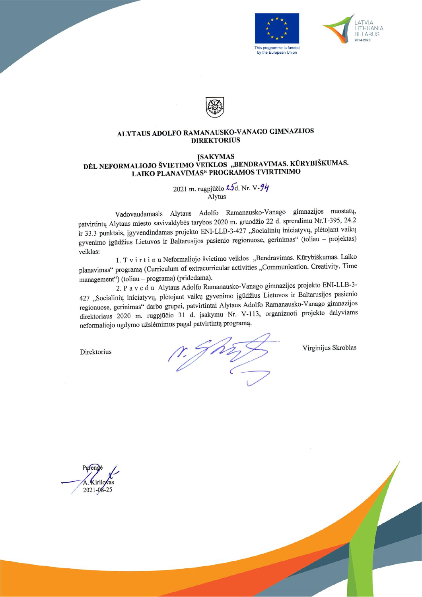





#### ALYTAUS ADOLFO RAMANAUSKO-VANAGO GIMNAZIJOS **DIREKTORIUS**

#### **ĮSAKYMAS** DĖL NEFORMALIOJO ŠVIETIMO VEIKLOS "BENDRAVIMAS. KŪRYBIŠKUMAS. LAIKO PLANAVIMAS" PROGRAMOS TVIRTINIMO

2021 m. rugpjūčio  $\lambda$ 5d. Nr. V- $9\eta$ <br>Alytus

Vadovaudamasis Alytaus Adolfo Ramanausko-Vanago gimnazijos nuostatų, patvirtintų Alytaus miesto savivaldybės tarybos 2020 m. gruodžio 22 d. sprendimu Nr.T-395, 24.2 ir 33.3 punktais, įgyvendindamas projekto ENI-LLB-3-427 "Socialinių iniciatyvų, plėtojant vaikų gyvenimo įgūdžius Lietuvos ir Baltarusijos pasienio regionuose, gerinimas" (toliau - projektas) veiklas:

1. T v i r t i n u Neformaliojo švietimo veiklos "Bendravimas. Kūrybiškumas. Laiko planavimas" programą (Curriculum of extracurricular activities "Communication. Creativity. Time management") (toliau - programa) (pridedama).

2. Pavedu Alytaus Adolfo Ramanausko-Vanago gimnazijos projekto ENI-LLB-3-427 "Socialinių iniciatyvų, plėtojant vaikų gyvenimo įgūdžius Lietuvos ir Baltarusijos pasienio regionuose, gerinimas" darbo grupei, patvirtintai Alytaus Adolfo Ramanausko-Vanago gimnazijos direktoriaus 2020 m. rugpjūčio 31 d. įsakymu Nr. V-113, organizuoti projekto dalyviams neformaliojo ugdymo užsiėmimus pagal patvirtintą programą.

Direktorius

 $\gamma$ , J $\rho$ 

Virginijus Skroblas



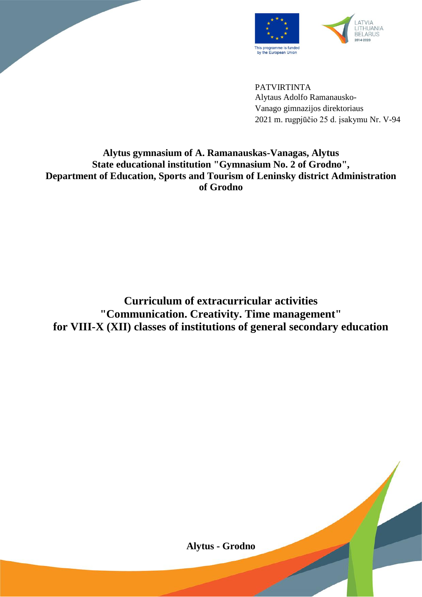



PATVIRTINTA Alytaus Adolfo Ramanausko-Vanago gimnazijos direktoriaus 2021 m. rugpjūčio 25 d. įsakymu Nr. V-94

#### **Alytus gymnasium of A. Ramanauskas-Vanagas, Alytus State educational institution "Gymnasium No. 2 of Grodno", Department of Education, Sports and Tourism of Leninsky district Administration of Grodno**

**Curriculum of extracurricular activities "Communication. Creativity. Time management" for VIII-X (XII) classes of institutions of general secondary education**

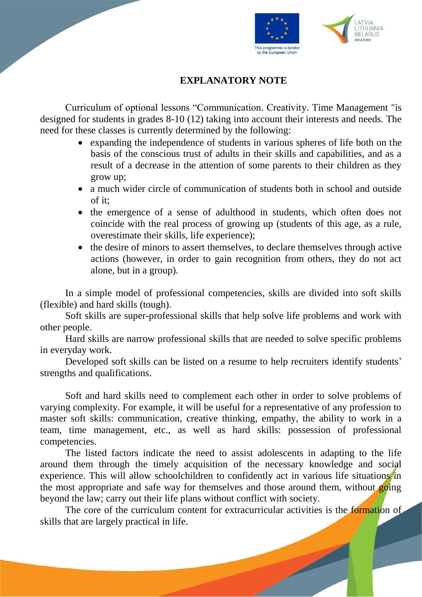

### **EXPLANATORY NOTE**

Curriculum of optional lessons "Communication. Creativity. Time Management "is designed for students in grades 8-10 (12) taking into account their interests and needs. The need for these classes is currently determined by the following:

- expanding the independence of students in various spheres of life both on the basis of the conscious trust of adults in their skills and capabilities, and as a result of a decrease in the attention of some parents to their children as they grow up;
- a much wider circle of communication of students both in school and outside  $of$  it:
- the emergence of a sense of adulthood in students, which often does not coincide with the real process of growing up (students of this age, as a rule, overestimate their skills, life experience);
- the desire of minors to assert themselves, to declare themselves through active actions (however, in order to gain recognition from others, they do not act alone, but in a group).

In a simple model of professional competencies, skills are divided into soft skills (flexible) and hard skills (tough).

Soft skills are super-professional skills that help solve life problems and work with other people.

Hard skills are narrow professional skills that are needed to solve specific problems in everyday work.

Developed soft skills can be listed on a resume to help recruiters identify students' strengths and qualifications.

Soft and hard skills need to complement each other in order to solve problems of varying complexity. For example, it will be useful for a representative of any profession to master soft skills: communication, creative thinking, empathy, the ability to work in a team, time management, etc., as well as hard skills: possession of professional competencies.

The listed factors indicate the need to assist adolescents in adapting to the life around them through the timely acquisition of the necessary knowledge and social experience. This will allow schoolchildren to confidently act in various life situations in the most appropriate and safe way for themselves and those around them, without going beyond the law; carry out their life plans without conflict with society.

The core of the curriculum content for extracurricular activities is the **formation** of skills that are largely practical in life.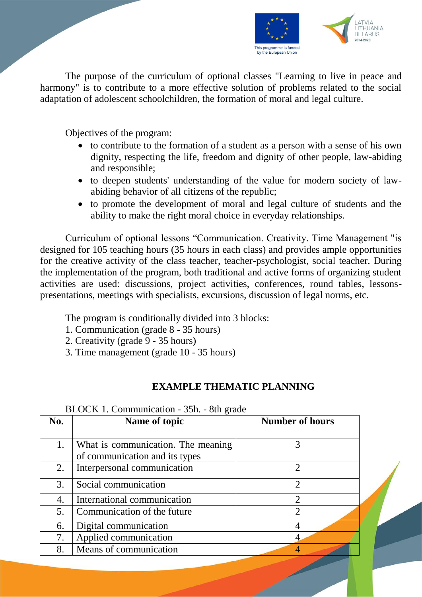

The purpose of the curriculum of optional classes "Learning to live in peace and harmony" is to contribute to a more effective solution of problems related to the social adaptation of adolescent schoolchildren, the formation of moral and legal culture.

Objectives of the program:

- to contribute to the formation of a student as a person with a sense of his own dignity, respecting the life, freedom and dignity of other people, law-abiding and responsible;
- to deepen students' understanding of the value for modern society of lawabiding behavior of all citizens of the republic;
- to promote the development of moral and legal culture of students and the ability to make the right moral choice in everyday relationships.

Curriculum of optional lessons "Communication. Creativity. Time Management "is designed for 105 teaching hours (35 hours in each class) and provides ample opportunities for the creative activity of the class teacher, teacher-psychologist, social teacher. During the implementation of the program, both traditional and active forms of organizing student activities are used: discussions, project activities, conferences, round tables, lessonspresentations, meetings with specialists, excursions, discussion of legal norms, etc.

The program is conditionally divided into 3 blocks:

- 1. Communication (grade 8 35 hours)
- 2. Creativity (grade 9 35 hours)
- 3. Time management (grade 10 35 hours)

## **EXAMPLE THEMATIC PLANNING**

| No. | Name of topic                                                        | <b>Number of hours</b>      |
|-----|----------------------------------------------------------------------|-----------------------------|
| 1.  | What is communication. The meaning<br>of communication and its types |                             |
| 2.  | Interpersonal communication                                          | $\mathcal{D}_{\mathcal{L}}$ |
| 3.  | Social communication                                                 | $\mathcal{D}_{\mathcal{A}}$ |
| 4.  | International communication                                          | っ                           |
| 5.  | Communication of the future                                          | $\overline{2}$              |
| 6.  | Digital communication                                                |                             |
| 7.  | Applied communication                                                |                             |
| 8.  | Means of communication                                               |                             |

 $BI$   $OCK$  1. Communication - 35h. - 8th grade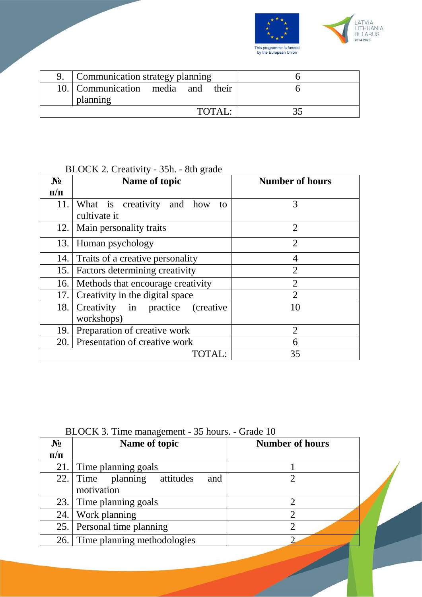

| Communication strategy planning               |  |        |  |
|-----------------------------------------------|--|--------|--|
| 10. Communication media and their<br>planning |  |        |  |
|                                               |  | TOTAI. |  |

# BLOCK 2. Creativity - 35h. - 8th grade

| $N_2$     | Name of topic                                    | <b>Number of hours</b> |
|-----------|--------------------------------------------------|------------------------|
| $\Pi/\Pi$ |                                                  |                        |
| 11.       | What is creativity and how<br>to<br>cultivate it | 3                      |
| 12.       | Main personality traits                          | $\overline{2}$         |
| 13.       | <b>Human psychology</b>                          | $\overline{2}$         |
| 14.       | Traits of a creative personality                 | 4                      |
| 15.       | Factors determining creativity                   | $\overline{2}$         |
| 16.       | Methods that encourage creativity                | $\overline{2}$         |
| 17.       | Creativity in the digital space                  | $\overline{2}$         |
| 18.       | Creativity in practice (creative<br>workshops)   | 10                     |
| 19.       | Preparation of creative work                     | $\overline{2}$         |
| 20.       | Presentation of creative work                    | 6                      |
|           | TOTAL:                                           | 35                     |

| BLOCK 3. Time management - 35 hours. - Grade 10 |                                   |                        |  |  |
|-------------------------------------------------|-----------------------------------|------------------------|--|--|
| $N_2$                                           | Name of topic                     | <b>Number of hours</b> |  |  |
| $\Pi/\Pi$                                       |                                   |                        |  |  |
| 21.1                                            | Time planning goals               |                        |  |  |
| 22.1                                            | attitudes<br>Time planning<br>and |                        |  |  |
|                                                 | motivation                        |                        |  |  |
|                                                 | 23. Time planning goals           |                        |  |  |
| 24.1                                            | Work planning                     |                        |  |  |
|                                                 | 25. Personal time planning        |                        |  |  |
|                                                 | 26. Time planning methodologies   |                        |  |  |
|                                                 |                                   |                        |  |  |

#### BLOCK 3. Time management - 35 hours. - Grade 10